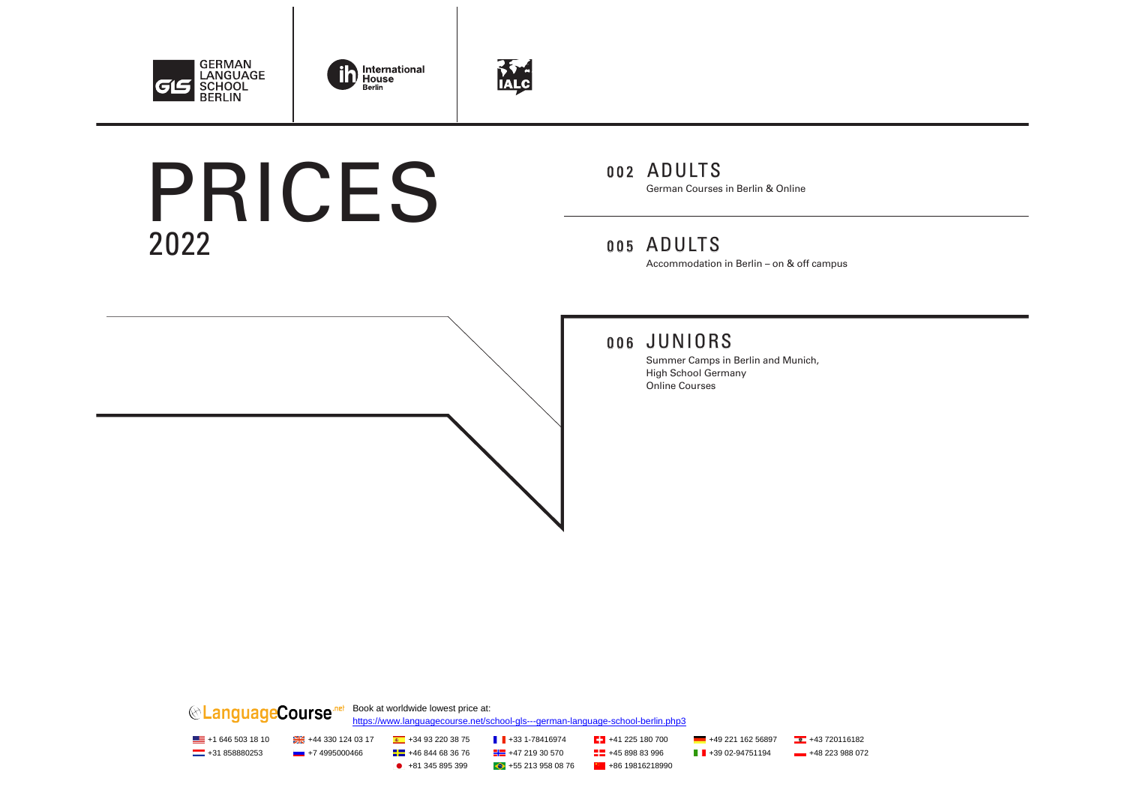





# 2022 PRICES

### 002 ADULTS

German Courses in Berlin & Online

### 005 ADULTS

Accommodation in Berlin – on & off campus

### 006 JUNIORS

Summer Camps in Berlin and Munich, High School Germany Online Courses

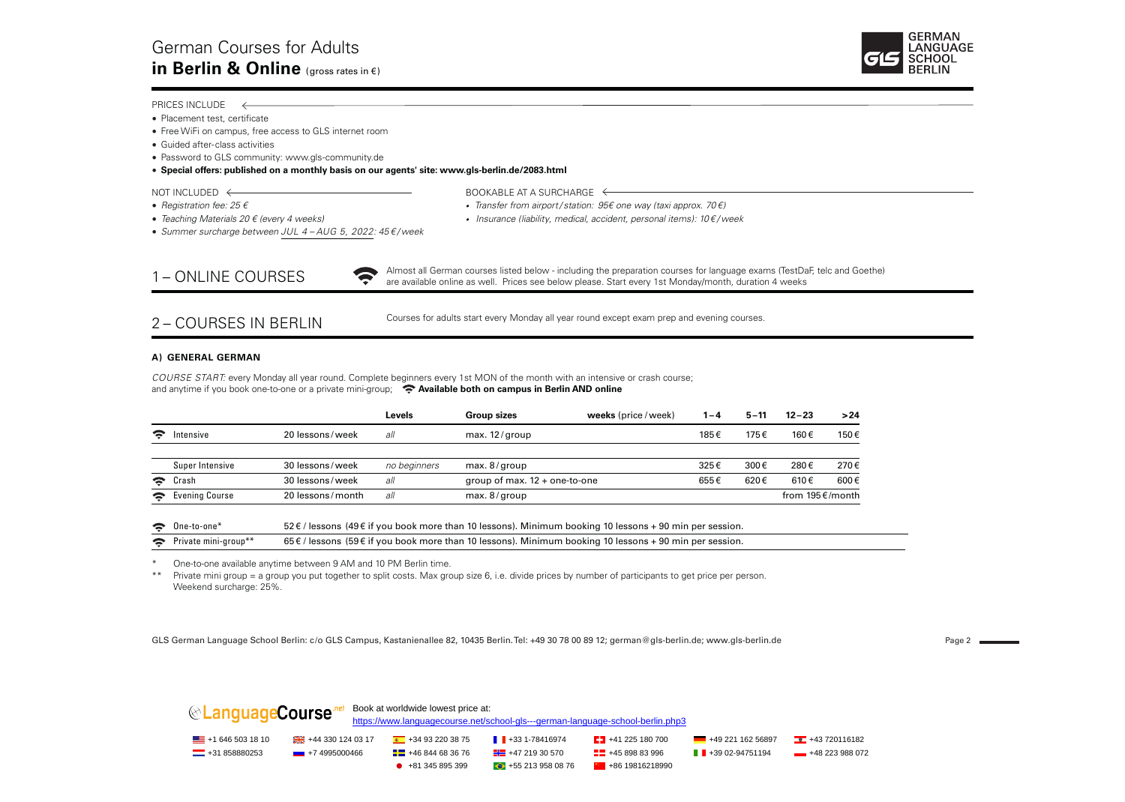

#### PRICES INCLUDE  $\leftarrow$

- Placement test, certificate
- Free WiFi on campus, free access to GLS internet room
- Guided after-class activities
- Password to GLS community: www.gls-community.de

#### • **Special offers: published on a monthly basis on our agents' site: www.gls-berlin.de/2083.html**

 $\widehat{\mathcal{P}}$ 

- 
- NOT INCLUDED  $\leftarrow$  BOOKABLE AT A SURCHARGE  $\leftarrow$
- *Registration fee: 25 € Transfer from airport / station: 95€ one way (taxi approx. 70 €)* • *Teaching Materials 20 € (every 4 weeks) • Insurance (liability, medical, accident, personal items): 10 € / week*
- *Summer surcharge between JUL 4 – AUG 5, 2022: 45 € / week*

1 – ONLINE COURSES

Almost all German courses listed below - including the preparation courses for language exams (TestDaF, telc and Goethe) are available online as well. Prices see below please. Start every 1st Monday/month, duration 4 weeks

#### 2 – COURSES IN BERLIN

Courses for adults start every Monday all year round except exam prep and evening courses.

#### **A) GENERAL GERMAN**

*COURSE START:* every Monday all year round. Complete beginners every 1st MON of the month with an intensive or crash course; and anytime if you book one-to-one or a private mini-group; **Available both on campus in Berlin AND online** 

|                        |                 |                  | Levels       | <b>Group sizes</b>              | weeks (price / week) | 1 – 4 | $5 - 11$ | $12 - 23$                   | >24  |
|------------------------|-----------------|------------------|--------------|---------------------------------|----------------------|-------|----------|-----------------------------|------|
| $\widehat{\mathbf{z}}$ | Intensive       | 20 lessons/week  | all          | max. $12$ / group               |                      | 185€  | 175€     | 160€                        | 150€ |
|                        | Super Intensive | 30 lessons/week  | no beainners | max. $8/$ group                 |                      | 325€  | 300€     | 280€                        | 270€ |
| $\hat{z}$              | Crash           | 30 lessons/week  | all          | group of max. $12 +$ one-to-one |                      | 655€  | 620€     | 610€                        | 600€ |
| ခ                      | Evening Course  | 20 lessons/month | all          | max. $8/$ group                 |                      |       |          | from $195 \text{ E/m}$ onth |      |

| $\bullet$ One-to-one*           | 52 € / lessons (49 € if you book more than 10 lessons). Minimum booking 10 lessons + 90 min per session. |
|---------------------------------|----------------------------------------------------------------------------------------------------------|
| $\epsilon$ Private mini-group** | 65 € / lessons (59 € if you book more than 10 lessons). Minimum booking 10 lessons + 90 min per session. |

\* One-to-one available anytime between 9 AM and 10 PM Berlin time.

\*\* Private mini group = a group you put together to split costs. Max group size 6, i.e. divide prices by number of participants to get price per person. Weekend surcharge: 25%.

GLS German Language School Berlin: c/o GLS Campus, Kastanienallee 82, 10435 Berlin. Tel: +49 30 78 00 89 12; german@gls-berlin.de; www.gls-berlin.de <br>
Page 2

|                           |                   | Book at worldwide lowest price at: | https://www.languagecourse.net/school-gls---german-language-school-berlin.php3 |                                |                                |                |
|---------------------------|-------------------|------------------------------------|--------------------------------------------------------------------------------|--------------------------------|--------------------------------|----------------|
| $\equiv$ +1 646 503 18 10 | +44 330 124 03 17 | $+34932203875$                     | $\blacksquare$ +33 1-78416974                                                  | $\sqrt{24}$ +41 225 180 700    | $-492116256897$                | $+43720116182$ |
| $-$ +31 858880253         | $-$ +7 4995000466 | $\frac{1}{2}$ +46 844 68 36 76     | $\frac{1}{2}$ +47 219 30 570                                                   | $\frac{12}{12}$ +45 898 83 996 | $\blacksquare$ +39 02-94751194 | $+48223988072$ |
|                           |                   | $+81345895399$                     | $+552139580876$                                                                | $+8619816218990$               |                                |                |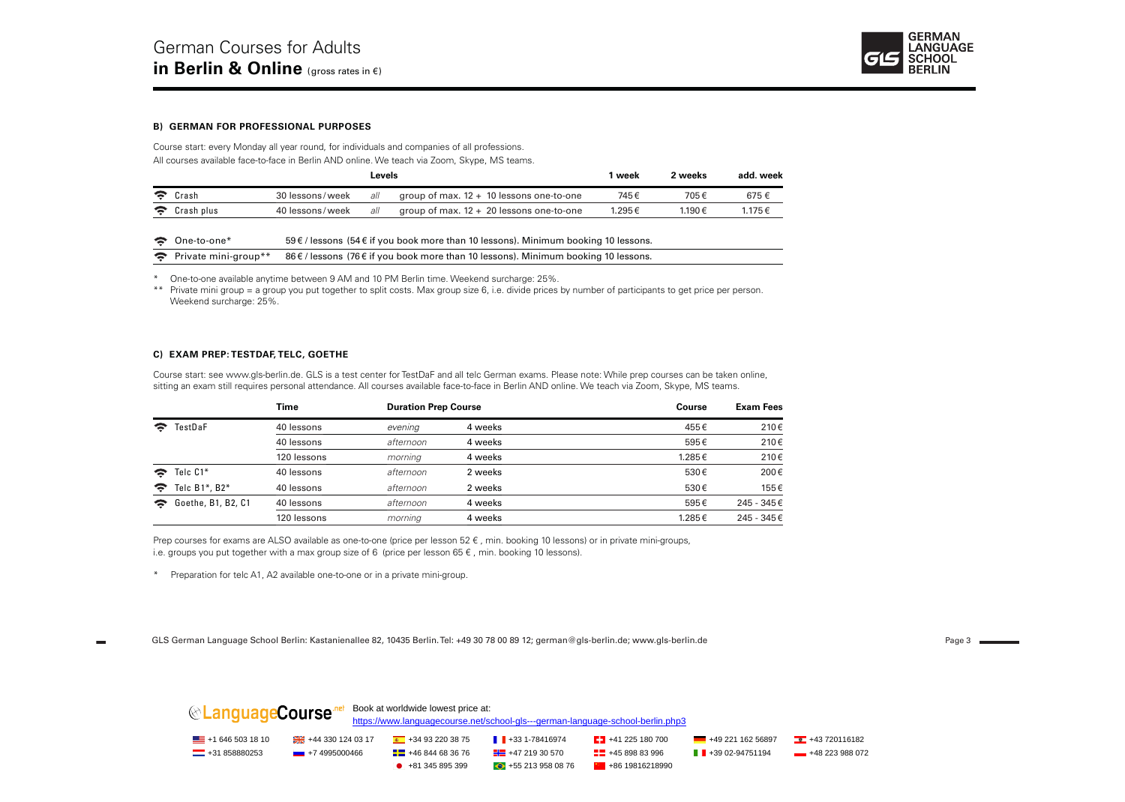

#### **B) GERMAN FOR PROFESSIONAL PURPOSES**

Course start: every Monday all year round, for individuals and companies of all professions. All courses available face-to-face in Berlin AND online. We teach via Zoom, Skype, MS teams.

|            |                 | Levels |                                            | week   | 2 weeks | add. week |
|------------|-----------------|--------|--------------------------------------------|--------|---------|-----------|
| ় Crash    | 30 lessons/week | all    | group of max. $12 + 10$ lessons one-to-one | 745€   | 705€    | 675€      |
| Crash plus | 40 lessons/week | all    | group of max. $12 + 20$ lessons one-to-one | 1.295€ | 1.190€  | 1.175€    |

| ← One-to-one                            | 59€/lessons (54€ if you book more than 10 lessons). Minimum booking 10 lessons. |
|-----------------------------------------|---------------------------------------------------------------------------------|
| $\hat{\mathbf{z}}$ Private mini-group** | 86€/lessons (76€ if you book more than 10 lessons). Minimum booking 10 lessons. |

\* One-to-one available anytime between 9 AM and 10 PM Berlin time. Weekend surcharge: 25%.

\*\* Private mini group = a group you put together to split costs. Max group size 6, i.e. divide prices by number of participants to get price per person. Weekend surcharge: 25%.

#### **C) EXAM PREP: TESTDAF, TELC, GOETHE**

Course start: see www.gls-berlin.de. GLS is a test center for TestDaF and all telc German exams. Please note: While prep courses can be taken online, sitting an exam still requires personal attendance. All courses available face-to-face in Berlin AND online. We teach via Zoom, Skype, MS teams.

|               |                       | Time        | <b>Duration Prep Course</b> |         | Course | <b>Exam Fees</b> |  |
|---------------|-----------------------|-------------|-----------------------------|---------|--------|------------------|--|
| TestDaF<br>ς. |                       | 40 lessons  | evening                     | 4 weeks | 455€   | 210€             |  |
|               |                       | 40 lessons  | afternoon                   | 4 weeks | 595€   | 210€             |  |
|               |                       | 120 lessons | morning                     | 4 weeks | 1.285€ | 210€             |  |
|               | $\approx$ Telc C1*    | 40 lessons  | afternoon                   | 2 weeks | 530€   | 200€             |  |
| <b>マー</b>     | Telc $B1^*$ . B2 $^*$ | 40 lessons  | afternoon                   | 2 weeks | 530€   | 155€             |  |
|               | Goethe, B1, B2, C1    | 40 lessons  | afternoon                   | 4 weeks | 595€   | 245 - 345€       |  |
|               |                       | 120 lessons | morning                     | 4 weeks | 1.285€ | 245 - 345€       |  |

Prep courses for exams are ALSO available as one-to-one (price per lesson 52 €, min. booking 10 lessons) or in private mini-groups, i.e. groups you put together with a max group size of 6 (price per lesson  $65 \in$ , min. booking 10 lessons).

\* Preparation for telc A1, A2 available one-to-one or in a private mini-group.

GLS German Language School Berlin: Kastanienallee 82, 10435 Berlin. Tel: +49 30 78 00 89 12; german@gls-berlin.de; www.gls-berlin.de variation of the state of the Page 3

| <i></i> LanguageCourse ™  |                   | Book at worldwide lowest price at:                                             |                              |                              |                                |                             |
|---------------------------|-------------------|--------------------------------------------------------------------------------|------------------------------|------------------------------|--------------------------------|-----------------------------|
|                           |                   | https://www.languagecourse.net/school-gls---german-language-school-berlin.php3 |                              |                              |                                |                             |
| $\equiv$ +1 646 503 18 10 |                   | $+34932203875$                                                                 | $\parallel$ +33 1-78416974   | $\sqrt{24}$ +41 225 180 700  | $-492116256897$                | $\frac{1}{2}$ +43 720116182 |
| $\equiv$ +31 858880253    | $-$ +7 4995000466 | $\frac{1}{2}$ +46 844 68 36 76                                                 | $\frac{1}{2}$ +47 219 30 570 | $\frac{1}{2}$ +45 898 83 996 | $\blacksquare$ +39 02-94751194 | $+48223988072$              |
|                           |                   | $+81345895399$                                                                 | $+552139580876$              | $+8619816218990$             |                                |                             |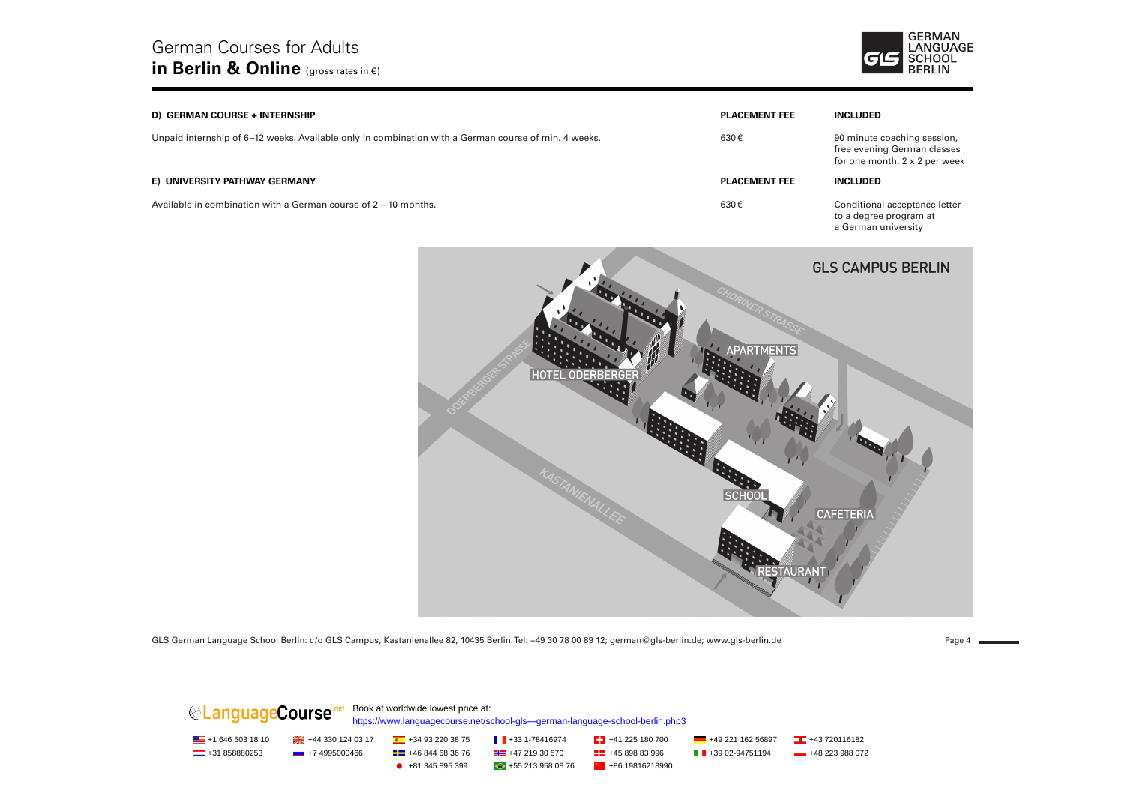

| D) GERMAN COURSE + INTERNSHIP                                                                        | <b>PLACEMENT FEE</b> | <b>INCLUDED</b>                                                                             |
|------------------------------------------------------------------------------------------------------|----------------------|---------------------------------------------------------------------------------------------|
| Unpaid internship of 6–12 weeks. Available only in combination with a German course of min. 4 weeks. | 630€                 | 90 minute coaching session,<br>free evening German classes<br>for one month, 2 x 2 per week |
| E) UNIVERSITY PATHWAY GERMANY                                                                        | <b>PLACEMENT FEE</b> | <b>INCLUDED</b>                                                                             |
| Available in combination with a German course of $2 - 10$ months.                                    | 630€                 | Conditional acceptance letter<br>to a degree program at                                     |



GLS German Language School Berlin: c/o GLS Campus, Kastanienallee 82, 10435 Berlin. Tel: +49 30 78 00 89 12; german@gls-berlin.de; www.gls-berlin.de Page 4 and Page 4 and Page 4 and Page 4 and Page 4 and Page 4 and Page 4

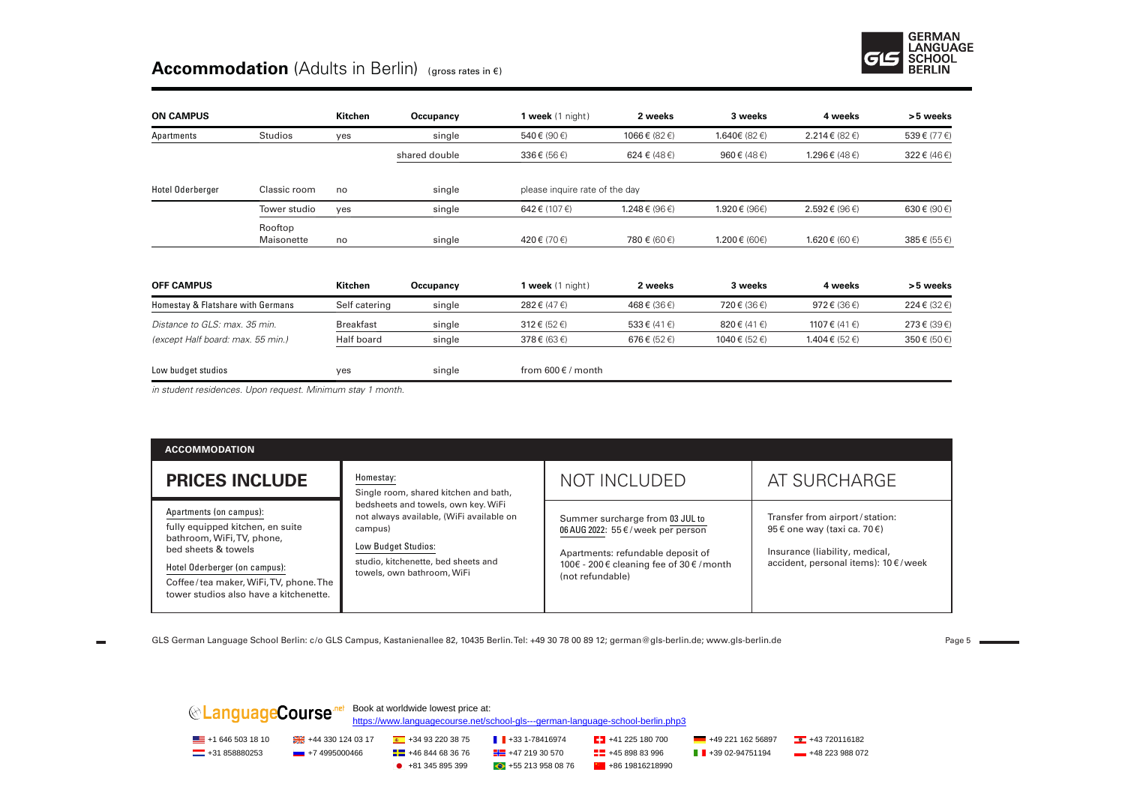

### **Accommodation** (Adults in Berlin) (gross rates in €)

| <b>ON CAMPUS</b>                  |                       | Kitchen          | Occupancy     | 1 week $(1 \text{ night})$     | 2 weeks            | 3 weeks               | 4 weeks                               | >5 weeks   |
|-----------------------------------|-----------------------|------------------|---------------|--------------------------------|--------------------|-----------------------|---------------------------------------|------------|
| Apartments                        | Studios               | yes              | single        | 540€ (90€)                     | 1066€ (82€)        | 1.640€ (82 €)         | 2.214 € (82 €)                        | 539€ (77€) |
|                                   |                       |                  | shared double | 336€ (56€)                     | 624 € (48 €)       | 960 $\xi$ (48 $\xi$ ) | 1.296 € (48 €)                        | 322€ (46€) |
| Hotel Oderberger                  | Classic room          | no               | single        | please inquire rate of the day |                    |                       |                                       |            |
|                                   | Tower studio          | yes              | single        | 642 € (107 €)                  | 1.248€ (96€)       | 1.920 € (96€)         | 2.592€ (96€)                          | 630€ (90€) |
|                                   | Rooftop<br>Maisonette | no               | single        | 420€ (70€)                     | 780 € (60 €)       | 1.200€ (60€)          | 1.620 € (60 €)                        | 385€ (55€) |
| <b>OFF CAMPUS</b>                 |                       | Kitchen          | Occupancy     | 1 week $(1 \text{ night})$     | 2 weeks            | 3 weeks               | 4 weeks                               | >5 weeks   |
| Homestay & Flatshare with Germans |                       | Self catering    | single        | 282€ (47€)                     | 468€ (36€)         | 720€ (36€)            | 972 $\varepsilon$ (36 $\varepsilon$ ) | 224€ (32€) |
| Distance to GLS: max. 35 min.     |                       | <b>Breakfast</b> | single        | $312 \notin (52 \in)$          | 533€ (41€)         | 820 € (41 €)          | 1107 € (41 €)                         | 273€ (39€) |
| (except Half board: max. 55 min.) |                       | Half board       | single        | $378 \in (63 \in)$             | $676 \in (52 \in)$ | 1040 € (52 €)         | 1.404 € (52 €)                        | 350€ (50€) |
| Low budget studios                |                       | yes              | single        | from $600 \in /$ month         |                    |                       |                                       |            |

*in student residences. Upon request. Minimum stay 1 month.* 

| <b>ACCOMMODATION</b>                                                                                                                                                                                                                  |                                                                                                                                                                                                                                              |                                                                                                                                                                            |                                                                                                                                          |
|---------------------------------------------------------------------------------------------------------------------------------------------------------------------------------------------------------------------------------------|----------------------------------------------------------------------------------------------------------------------------------------------------------------------------------------------------------------------------------------------|----------------------------------------------------------------------------------------------------------------------------------------------------------------------------|------------------------------------------------------------------------------------------------------------------------------------------|
| <b>PRICES INCLUDE</b>                                                                                                                                                                                                                 | Homestay:<br>Single room, shared kitchen and bath,<br>bedsheets and towels, own key. WiFi<br>not always available, (WiFi available on<br>campus)<br>Low Budget Studios:<br>studio, kitchenette, bed sheets and<br>towels, own bathroom, WiFi | <b>NOT INCLUDED</b>                                                                                                                                                        | AT SURCHARGE                                                                                                                             |
| Apartments (on campus):<br>fully equipped kitchen, en suite<br>bathroom, WiFi, TV, phone,<br>bed sheets & towels<br>Hotel Oderberger (on campus):<br>Coffee/tea maker, WiFi, TV, phone. The<br>tower studios also have a kitchenette. |                                                                                                                                                                                                                                              | Summer surcharge from 03 JUL to<br>06 AUG 2022: 55 €/week per person<br>Apartments: refundable deposit of<br>100€ - 200 € cleaning fee of 30 € / month<br>(not refundable) | Transfer from airport/station:<br>95 € one way (taxi ca. 70 €)<br>Insurance (liability, medical,<br>accident, personal items): 10 €/week |

GLS German Language School Berlin: c/o GLS Campus, Kastanienallee 82, 10435 Berlin. Tel: +49 30 78 00 89 12; german@gls-berlin.de; www.gls-berlin.de Tage S = Page 5

| <b> </b> LanguageCourse <u>net</u> |                                     | Book at worldwide lowest price at: | https://www.languagecourse.net/school-gls---german-language-school-berlin.php3 |                               |                                |                |
|------------------------------------|-------------------------------------|------------------------------------|--------------------------------------------------------------------------------|-------------------------------|--------------------------------|----------------|
| $\equiv$ +1 646 503 18 10          | $\frac{124}{124}$ +44 330 124 03 17 | $+34932203875$                     | $\blacksquare$ +33 1-78416974                                                  | $\frac{1}{2}$ +41 225 180 700 | +49 221 162 56897              | $+43720116182$ |
| $\frac{1}{2}$ +31 858880253        | $\frac{1}{2}$ +7 4995000466         | $\frac{1}{2}$ +46 844 68 36 76     | $\frac{1}{2}$ +47 219 30 570                                                   | $\frac{1}{2}$ +45 898 83 996  | $\blacksquare$ +39 02-94751194 | $+48223988072$ |
|                                    |                                     | $+81345895399$                     | $+552139580876$                                                                | $+8619816218990$              |                                |                |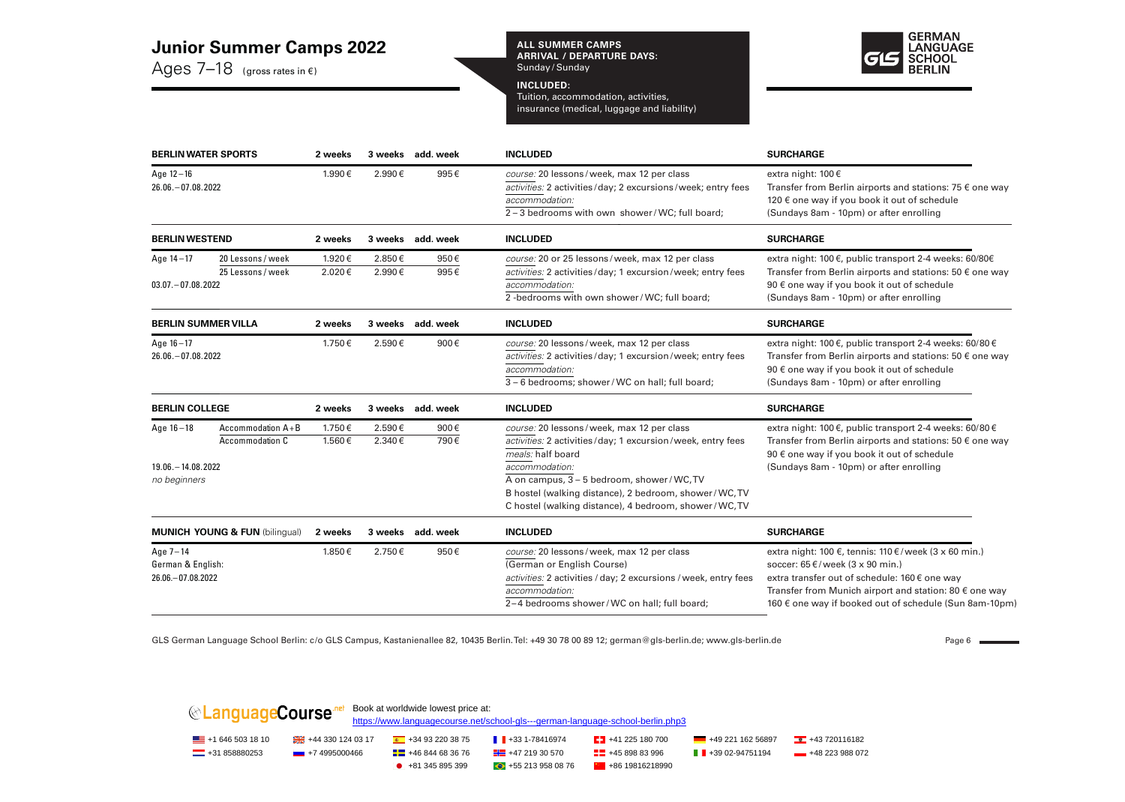#### **Junior Summer Camps 2022**

Ages 7–18(gross rates in €)

**ALL SUMMER CAMPS ARRIVAL / DEPARTURE DAYS:**  Sunday / Sunday

#### **INCLUDED:**

Tuition, accommodation, activities, insurance (medical, luggage and liability)



|                                                                                 | <b>BERLIN WATER SPORTS</b>                | 2 weeks          |                  | 3 weeks add. week<br><b>INCLUDED</b> |                                                                                                                                                                                                                                                                                                               | <b>SURCHARGE</b>                                                                                                                                                                                                                                                          |
|---------------------------------------------------------------------------------|-------------------------------------------|------------------|------------------|--------------------------------------|---------------------------------------------------------------------------------------------------------------------------------------------------------------------------------------------------------------------------------------------------------------------------------------------------------------|---------------------------------------------------------------------------------------------------------------------------------------------------------------------------------------------------------------------------------------------------------------------------|
| Age $12 - 16$<br>26.06. - 07.08.2022                                            |                                           | 1.990€           | 2.990€           | 995€                                 | course: 20 lessons/week, max 12 per class<br>activities: 2 activities/day; 2 excursions/week; entry fees<br>accommodation:<br>2 – 3 bedrooms with own shower/WC; full board;                                                                                                                                  | extra night: 100€<br>Transfer from Berlin airports and stations: 75 $\epsilon$ one way<br>120 € one way if you book it out of schedule<br>(Sundays 8am - 10pm) or after enrolling                                                                                         |
| <b>BERLIN WESTEND</b>                                                           |                                           | 2 weeks          |                  | 3 weeks add. week                    | <b>INCLUDED</b>                                                                                                                                                                                                                                                                                               | <b>SURCHARGE</b>                                                                                                                                                                                                                                                          |
| Age $14 - 17$<br>20 Lessons / week<br>25 Lessons / week<br>$03.07 - 07.08.2022$ |                                           | 1.920€<br>2.020€ | 2.850€<br>2.990€ | 950€<br>995€                         | course: 20 or 25 lessons/week, max 12 per class<br>activities: 2 activities/day; 1 excursion/week; entry fees<br>accommodation:<br>2-bedrooms with own shower/WC; full board;                                                                                                                                 | extra night: 100 €, public transport 2-4 weeks: 60/80€<br>Transfer from Berlin airports and stations: 50 $\epsilon$ one way<br>90 € one way if you book it out of schedule<br>(Sundays 8am - 10pm) or after enrolling                                                     |
| <b>BERLIN SUMMER VILLA</b>                                                      |                                           | 2 weeks          |                  | 3 weeks add, week                    | <b>INCLUDED</b>                                                                                                                                                                                                                                                                                               | <b>SURCHARGE</b>                                                                                                                                                                                                                                                          |
| Age $16 - 17$<br>26.06. - 07.08.2022                                            |                                           | 1.750€           | 2.590€           | 900€                                 | course: 20 lessons/week, max 12 per class<br>activities: 2 activities/day; 1 excursion/week; entry fees<br>accommodation:<br>3 - 6 bedrooms; shower/WC on hall; full board;                                                                                                                                   | extra night: 100 €, public transport 2-4 weeks: 60/80 €<br>Transfer from Berlin airports and stations: 50 $\epsilon$ one way<br>90 € one way if you book it out of schedule<br>(Sundays 8am - 10pm) or after enrolling                                                    |
| <b>BERLIN COLLEGE</b>                                                           |                                           | 2 weeks          |                  | 3 weeks add, week                    | <b>INCLUDED</b>                                                                                                                                                                                                                                                                                               | <b>SURCHARGE</b>                                                                                                                                                                                                                                                          |
| Age $16 - 18$<br>$19.06 - 14.08.2022$<br>no beginners                           | Accommodation $A + B$<br>Accommodation C  | 1.750€<br>1.560€ | 2.590€<br>2.340€ | 900€<br>790€                         | course: 20 lessons/week, max 12 per class<br>activities: 2 activities/day; 1 excursion/week, entry fees<br>meals: half board<br>accommodation:<br>A on campus, 3 - 5 bedroom, shower/WC, TV<br>B hostel (walking distance), 2 bedroom, shower/WC, TV<br>C hostel (walking distance), 4 bedroom, shower/WC, TV | extra night: 100 €, public transport 2-4 weeks: 60/80 €<br>Transfer from Berlin airports and stations: 50 $\epsilon$ one way<br>90 € one way if you book it out of schedule<br>(Sundays 8am - 10pm) or after enrolling                                                    |
|                                                                                 | <b>MUNICH YOUNG &amp; FUN (bilingual)</b> | 2 weeks          |                  | 3 weeks add. week                    | <b>INCLUDED</b>                                                                                                                                                                                                                                                                                               | <b>SURCHARGE</b>                                                                                                                                                                                                                                                          |
| Age 7-14<br>German & English:<br>26.06. - 07.08.2022                            |                                           | 1.850€           | 2.750€           | 950€                                 | course: 20 lessons/week, max 12 per class<br>(German or English Course)<br>activities: 2 activities / day; 2 excursions / week, entry fees<br>accommodation:<br>2-4 bedrooms shower/WC on hall; full board;                                                                                                   | extra night: 100 €, tennis: 110 €/week (3 x 60 min.)<br>soccer: $65 \in$ /week (3 x 90 min.)<br>extra transfer out of schedule: 160€ one way<br>Transfer from Munich airport and station: 80 $\epsilon$ one way<br>160 € one way if booked out of schedule (Sun 8am-10pm) |

GLS German Language School Berlin: c/o GLS Campus, Kastanienallee 82, 10435 Berlin. Tel: +49 30 78 00 89 12; german@gls-berlin.de; www.gls-berlin.de <br>
Bage 6

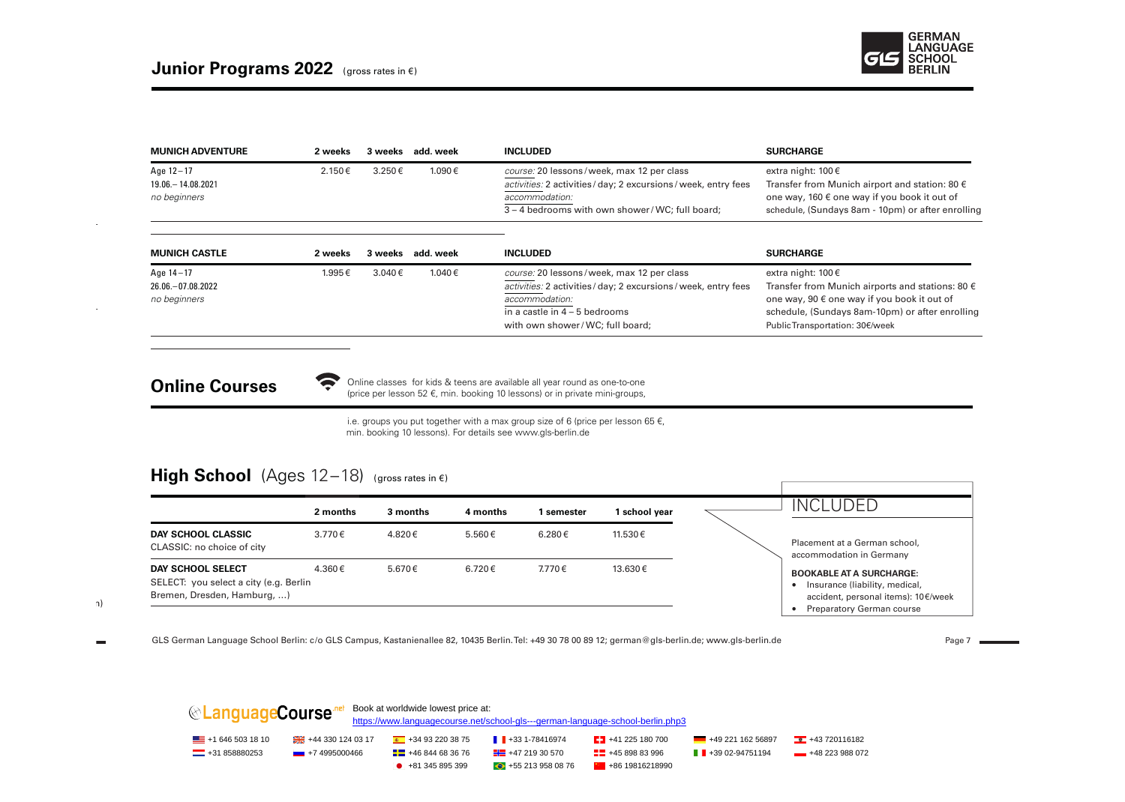

| 2 weeks | 3 weeks     | add. week | <b>INCLUDED</b>                                                 | <b>SURCHARGE</b>                                          |
|---------|-------------|-----------|-----------------------------------------------------------------|-----------------------------------------------------------|
| 2.150€  | $3.250 \in$ | 1.090€    | course: 20 lessons/week, max 12 per class                       | extra night: $100 \in$                                    |
|         |             |           | activities: 2 activities / day; 2 excursions / week, entry fees | Transfer from Munich airport and station: 80 $\epsilon$   |
|         |             |           | accommodation:                                                  | one way, 160 $\epsilon$ one way if you book it out of     |
|         |             |           | 3 – 4 bedrooms with own shower/WC: full board:                  | schedule, (Sundays 8am - 10pm) or after enrolling         |
| 2 weeks |             | add. week | <b>INCLUDED</b>                                                 | <b>SURCHARGE</b>                                          |
| 1.995€  | 3.040€      | 1.040€    | course: 20 lessons/week, max 12 per class                       | extra night: $100 \in$                                    |
|         |             |           | activities: 2 activities / day; 2 excursions / week, entry fees | Transfer from Munich airports and stations: 80 $\epsilon$ |
|         |             |           | accommodation:                                                  | one way, 90 € one way if you book it out of               |
|         |             |           | in a castle in $4 - 5$ bedrooms                                 | schedule, (Sundays 8am-10pm) or after enrolling           |
|         |             |           | with own shower/WC; full board;                                 | Public Transportation: 30€/week                           |
|         |             |           | 3 weeks                                                         |                                                           |

**Online Courses**<br>
(price per lesson 52 €, min. booking 10 lessons) or in private mini-groups, Online classes for kids & teens are available all year round as one-to-one

> i.e. groups you put together with a max group size of 6 (price per lesson 65  $\epsilon$ , min. booking 10 lessons). For details see www.gls-berlin.de

#### **High School**  $(Ages 12-18)$  (gross rates in  $\epsilon$ )

|                                                                                            | 2 months    | 3 months | 4 months | l semester | school year | <b>INCLUDED</b>                                                                                                                       |
|--------------------------------------------------------------------------------------------|-------------|----------|----------|------------|-------------|---------------------------------------------------------------------------------------------------------------------------------------|
| <b>DAY SCHOOL CLASSIC</b><br>CLASSIC: no choice of city                                    | $3.770 \in$ | 4.820€   | 5.560€   | 6.280€     | 11.530€     | Placement at a German school,<br>accommodation in Germany                                                                             |
| DAY SCHOOL SELECT<br>SELECT: you select a city (e.g. Berlin<br>Bremen, Dresden, Hamburg, ) | 4.360€      | 5.670 €  | 6.720€   | 7.770€     | 13.630€     | <b>BOOKABLE AT A SURCHARGE:</b><br>Insurance (liability, medical,<br>accident, personal items): 10€/week<br>Preparatory German course |

 $(1-\alpha)^2$ 

GLS German Language School Berlin: c/o GLS Campus, Kastanienallee 82, 10435 Berlin. Tel: +49 30 78 00 89 12; german@gls-berlin.de; www.gls-berlin.de<br>
and Experience Page 7